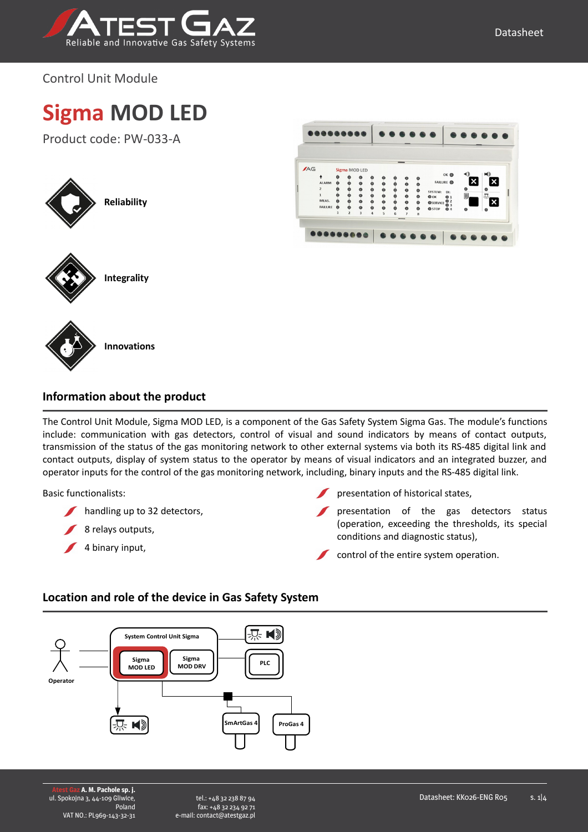

Control Unit Module

# **Sigma MOD LED**

Product code: PW-033-A







**Information about the product**

The Control Unit Module, Sigma MOD LED, is a component of the Gas Safety System Sigma Gas. The module's functions include: communication with gas detectors, control of visual and sound indicators by means of contact outputs, transmission of the status of the gas monitoring network to other external systems via both its RS-485 digital link and contact outputs, display of system status to the operator by means of visual indicators and an integrated buzzer, and operator inputs for the control of the gas monitoring network, including, binary inputs and the RS-485 digital link.

#### Basic functionalists:

- handling up to 32 detectors,
- 8 relays outputs,
- $\sqrt{4}$  binary input,
- presentation of historical states,
- presentation of the gas detectors status (operation, exceeding the thresholds, its special conditions and diagnostic status),
- control of the entire system operation.

#### **Location and role of the device in Gas Safety System**

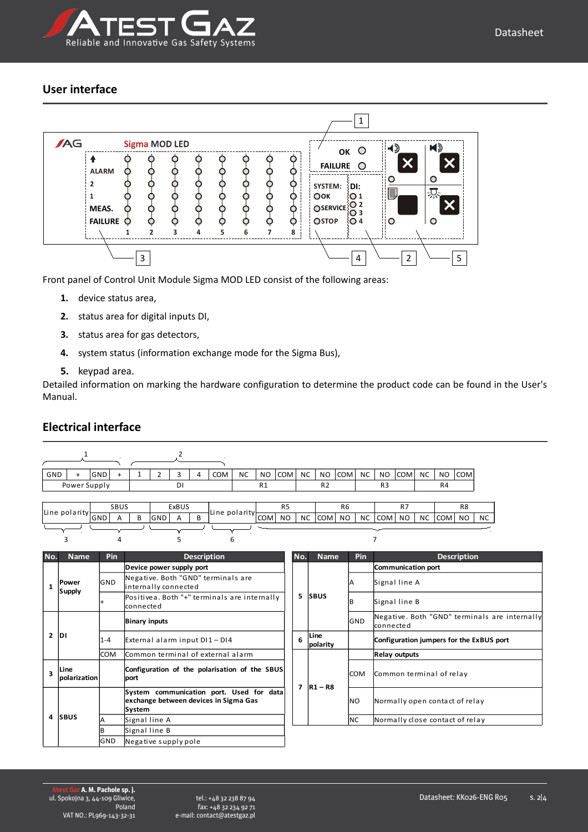

#### **User interface**



Front panel of Control Unit Module Sigma MOD LED consist of the following areas:

- **1.** device status area,
- **2.** status area for digital inputs DI,
- **3.** status area for gas detectors,
- **4.** system status (information exchange mode for the Sigma Bus),
- **5.** keypad area.

Detailed information on marking the hardware configuration to determine the product code can be found in the User's Manual.

#### **No. Name Pin Description No. Name Pin Description 1 Device power supply port 5 SBUS Communication port** GND  $\begin{array}{|c|c|c|c|c|}\n\hline\n\text{GND} & \text{Signal line A} \\
\hline\n\end{array}$  $\begin{array}{ccc} \hline \uparrow & \hline \end{array}$  Positivea. Both "+" terminals are internally  $\begin{array}{ccc} \hline \end{array}$   $\begin{array}{ccc} \hline \hline \end{array}$   $\begin{array}{ccc} \hline \hline \end{array}$   $\begin{array}{ccc} \hline \hline \end{array}$   $\begin{array}{ccc} \hline \hline \end{array}$   $\begin{array}{ccc} \hline \hline \end{array}$   $\begin{array}{ccc} \hline \hline \end{array}$   $\begin{array}{ccc$ **2 DI Binary inputs** GND 1-4 **6 Configuration jumpers for the ExBUS port** COM Common terminal of external alarm **7 R1 – R8 Relay outputs 3** COM Common terminal of relay community of the polarisation of the SBUS | COM Common terminal of relay **4 SBUS** NO Normally open contact of relay  $\overline{\text{Signal line A}}$  NC Normally close contact of relay B Signal line B **Power Supply** nternally connected connected Negative. Both "GND" terminals are internally connected External alarm input DI1 - DI4 **polarity Line polarization Configuration of the polarisation of the SBUS port System communication port. Used for data exchange between devices in Sigma Gas System** 1 2  $GND$  +  $GND$  + 1 2 3 4  $COM$  NC NO COM NC NO COM NC NO  $COMN$  NC NO  $COMN$ Power Supply DI R1 R2 R3 R4 Line polarity SBUS ExBUS Line polarity R5 | R6 | R7 | R8 GND  $A \mid B \mid$ GND  $A \mid B \mid$ COM POISON NO NC COM NO NC COM NO NC COM NO NC COM NO NO 3 4 5 6 7

#### **Electrical interface**

GND Negative supply pole

tel.: +48 32 238 87 94 fax: +48 32 234 92 71 e-mail: contact@atestgaz.pl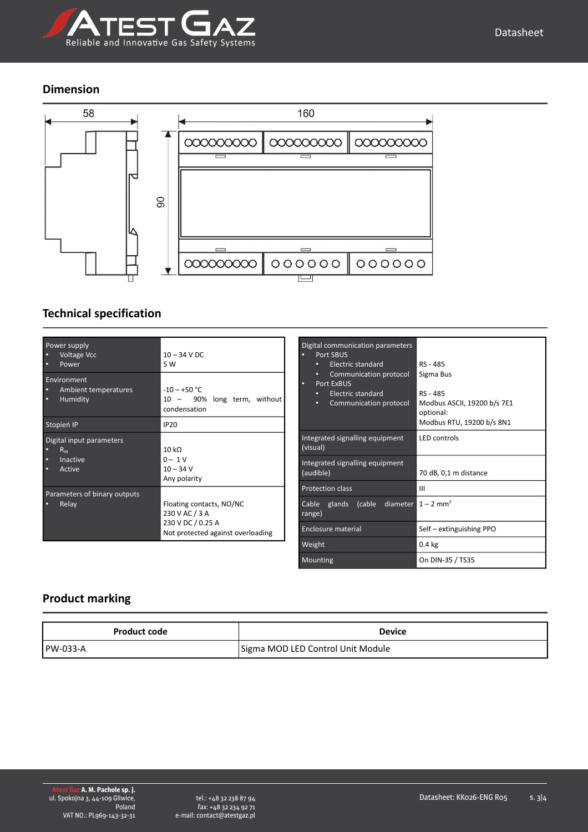

#### **Dimension**



### **Technical specification**

| Power supply<br><b>Voltage Vcc</b><br>Power                    | $10 - 34$ V DC<br>5 W                                                                                |
|----------------------------------------------------------------|------------------------------------------------------------------------------------------------------|
| Environment<br>Ambient temperatures<br>Humidity<br>о           | $-10 - +50$ °C<br>10 - 90% long term, without<br>condensation                                        |
| Stopień IP                                                     | <b>IP20</b>                                                                                          |
| Digital input parameters<br>$R_{\rm IN}$<br>Inactive<br>Active | 10 k <sub>0</sub><br>$0 - 1V$<br>$10 - 34$ V<br>Any polarity                                         |
| Parameters of binary outputs<br>Relay                          | Floating contacts, NO/NC<br>230 V AC / 3 A<br>230 V DC / 0.25 A<br>Not protected against overloading |

| Digital communication parameters<br>Port SBUS<br>Electric standard<br>۰<br>Communication protocol<br>۰<br>Port ExBUS<br>Electric standard<br>о<br>Communication protocol<br>٥ | RS - 485<br>Sigma Bus<br>RS - 485<br>Modbus ASCII, 19200 b/s 7E1<br>optional:<br>Modbus RTU, 19200 b/s 8N1 |
|-------------------------------------------------------------------------------------------------------------------------------------------------------------------------------|------------------------------------------------------------------------------------------------------------|
| Integrated signalling equipment<br>(visual)                                                                                                                                   | <b>LED</b> controls                                                                                        |
| Integrated signalling equipment<br>(audible)                                                                                                                                  | 70 dB, 0,1 m distance                                                                                      |
| <b>Protection class</b>                                                                                                                                                       | Ш                                                                                                          |
| glands (cable diameter $1 - 2$ mm <sup>2</sup><br>Cable<br>range)                                                                                                             |                                                                                                            |
| Enclosure material                                                                                                                                                            | Self - extinguishing PPO                                                                                   |
| Weight                                                                                                                                                                        | 0.4 <sub>kg</sub>                                                                                          |
| Mounting                                                                                                                                                                      | On DIN-35 / TS35                                                                                           |

# **Product marking**

| Product code     | Device                            |
|------------------|-----------------------------------|
| <b>IPW-033-A</b> | Sigma MOD LED Control Unit Module |